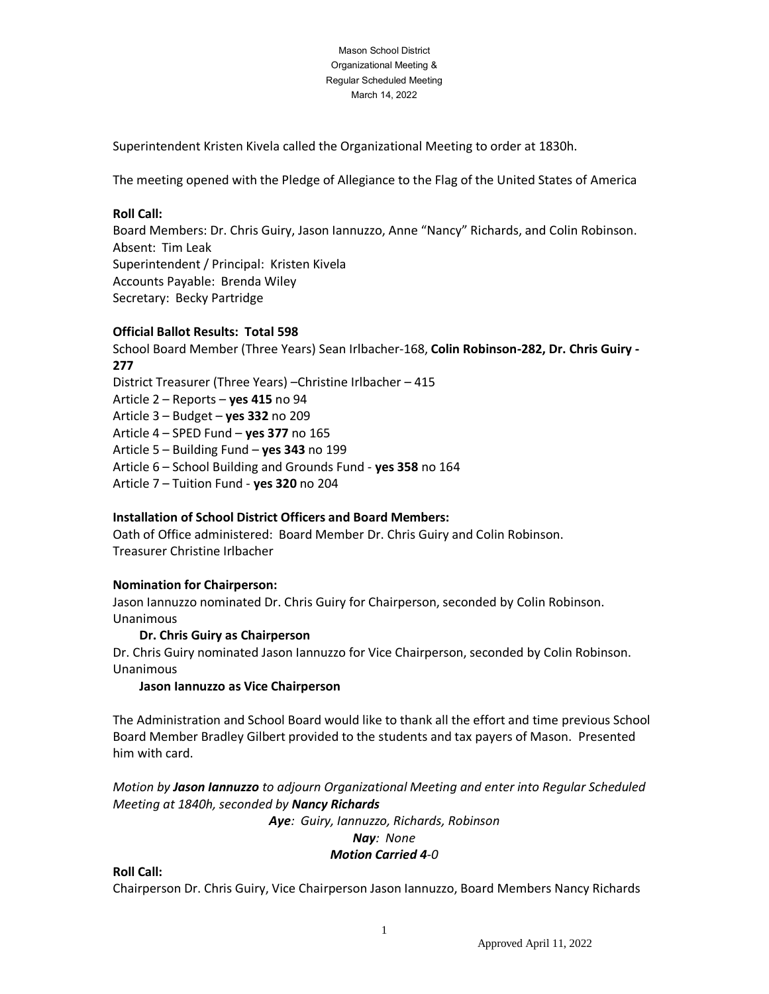#### Mason School District Organizational Meeting & Regular Scheduled Meeting March 14, 2022

Superintendent Kristen Kivela called the Organizational Meeting to order at 1830h.

The meeting opened with the Pledge of Allegiance to the Flag of the United States of America

### **Roll Call:**

Board Members: Dr. Chris Guiry, Jason Iannuzzo, Anne "Nancy" Richards, and Colin Robinson. Absent: Tim Leak Superintendent / Principal: Kristen Kivela Accounts Payable: Brenda Wiley Secretary: Becky Partridge

### **Official Ballot Results: Total 598**

School Board Member (Three Years) Sean Irlbacher-168, **Colin Robinson-282, Dr. Chris Guiry - 277**  District Treasurer (Three Years) –Christine Irlbacher – 415 Article 2 – Reports – **yes 415** no 94 Article 3 – Budget – **yes 332** no 209 Article 4 – SPED Fund – **yes 377** no 165 Article 5 – Building Fund – **yes 343** no 199 Article 6 – School Building and Grounds Fund - **yes 358** no 164 Article 7 – Tuition Fund - **yes 320** no 204

## **Installation of School District Officers and Board Members:**

Oath of Office administered: Board Member Dr. Chris Guiry and Colin Robinson. Treasurer Christine Irlbacher

## **Nomination for Chairperson:**

Jason Iannuzzo nominated Dr. Chris Guiry for Chairperson, seconded by Colin Robinson. Unanimous

### **Dr. Chris Guiry as Chairperson**

Dr. Chris Guiry nominated Jason Iannuzzo for Vice Chairperson, seconded by Colin Robinson. Unanimous

### **Jason Iannuzzo as Vice Chairperson**

The Administration and School Board would like to thank all the effort and time previous School Board Member Bradley Gilbert provided to the students and tax payers of Mason. Presented him with card.

*Motion by Jason Iannuzzo to adjourn Organizational Meeting and enter into Regular Scheduled Meeting at 1840h, seconded by Nancy Richards*

*Aye: Guiry, Iannuzzo, Richards, Robinson*

#### *Nay: None*

### *Motion Carried 4-0*

## **Roll Call:**

Chairperson Dr. Chris Guiry, Vice Chairperson Jason Iannuzzo, Board Members Nancy Richards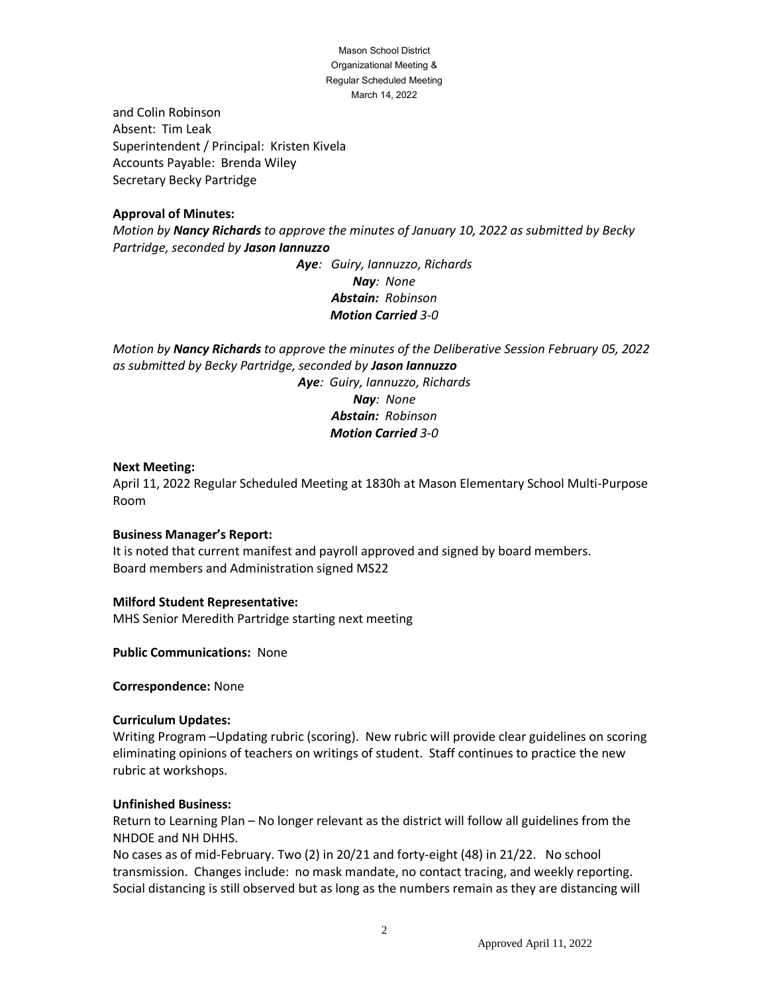Mason School District Organizational Meeting & Regular Scheduled Meeting March 14, 2022

and Colin Robinson Absent: Tim Leak Superintendent / Principal: Kristen Kivela Accounts Payable: Brenda Wiley Secretary Becky Partridge

### **Approval of Minutes:**

*Motion by Nancy Richards to approve the minutes of January 10, 2022 as submitted by Becky Partridge, seconded by Jason Iannuzzo*

> *Aye: Guiry, Iannuzzo, Richards Nay: None Abstain: Robinson Motion Carried 3-0*

*Motion by Nancy Richards to approve the minutes of the Deliberative Session February 05, 2022 as submitted by Becky Partridge, seconded by Jason Iannuzzo Aye: Guiry, Iannuzzo, Richards Nay: None Abstain: Robinson Motion Carried 3-0*

#### **Next Meeting:**

April 11, 2022 Regular Scheduled Meeting at 1830h at Mason Elementary School Multi-Purpose Room

#### **Business Manager's Report:**

It is noted that current manifest and payroll approved and signed by board members. Board members and Administration signed MS22

#### **Milford Student Representative:**

MHS Senior Meredith Partridge starting next meeting

**Public Communications:** None

**Correspondence:** None

#### **Curriculum Updates:**

Writing Program –Updating rubric (scoring). New rubric will provide clear guidelines on scoring eliminating opinions of teachers on writings of student. Staff continues to practice the new rubric at workshops.

#### **Unfinished Business:**

Return to Learning Plan – No longer relevant as the district will follow all guidelines from the NHDOE and NH DHHS.

No cases as of mid-February. Two (2) in 20/21 and forty-eight (48) in 21/22. No school transmission. Changes include: no mask mandate, no contact tracing, and weekly reporting. Social distancing is still observed but as long as the numbers remain as they are distancing will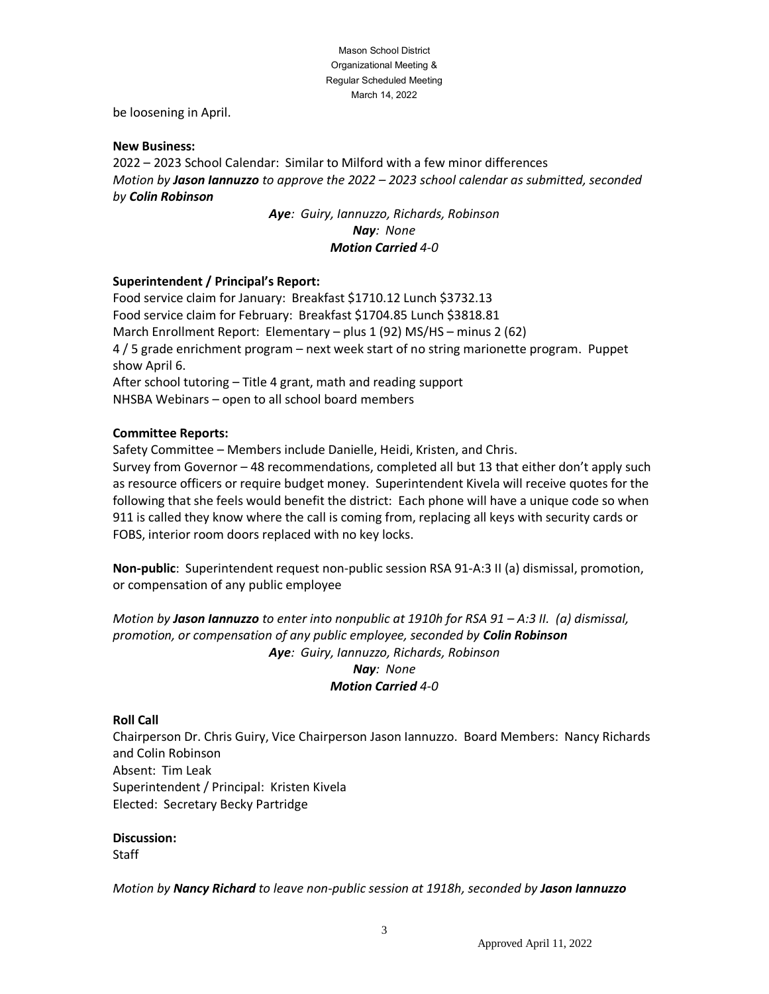#### Mason School District Organizational Meeting & Regular Scheduled Meeting March 14, 2022

be loosening in April.

#### **New Business:**

2022 – 2023 School Calendar: Similar to Milford with a few minor differences *Motion by Jason Iannuzzo to approve the 2022 – 2023 school calendar as submitted, seconded by Colin Robinson*

> *Aye: Guiry, Iannuzzo, Richards, Robinson Nay: None Motion Carried 4-0*

### **Superintendent / Principal's Report:**

Food service claim for January: Breakfast \$1710.12 Lunch \$3732.13 Food service claim for February: Breakfast \$1704.85 Lunch \$3818.81 March Enrollment Report: Elementary – plus 1 (92) MS/HS – minus 2 (62) 4 / 5 grade enrichment program – next week start of no string marionette program. Puppet show April 6. After school tutoring – Title 4 grant, math and reading support NHSBA Webinars – open to all school board members

### **Committee Reports:**

Safety Committee – Members include Danielle, Heidi, Kristen, and Chris.

Survey from Governor – 48 recommendations, completed all but 13 that either don't apply such as resource officers or require budget money. Superintendent Kivela will receive quotes for the following that she feels would benefit the district: Each phone will have a unique code so when 911 is called they know where the call is coming from, replacing all keys with security cards or FOBS, interior room doors replaced with no key locks.

**Non-public**: Superintendent request non-public session RSA 91-A:3 II (a) dismissal, promotion, or compensation of any public employee

*Motion by Jason Iannuzzo to enter into nonpublic at 1910h for RSA 91 – A:3 II. (a) dismissal, promotion, or compensation of any public employee, seconded by Colin Robinson Aye: Guiry, Iannuzzo, Richards, Robinson Nay: None Motion Carried 4-0*

### **Roll Call**

Chairperson Dr. Chris Guiry, Vice Chairperson Jason Iannuzzo. Board Members: Nancy Richards and Colin Robinson Absent: Tim Leak Superintendent / Principal: Kristen Kivela Elected: Secretary Becky Partridge

### **Discussion:**

**Staff** 

*Motion by Nancy Richard to leave non-public session at 1918h, seconded by Jason Iannuzzo*